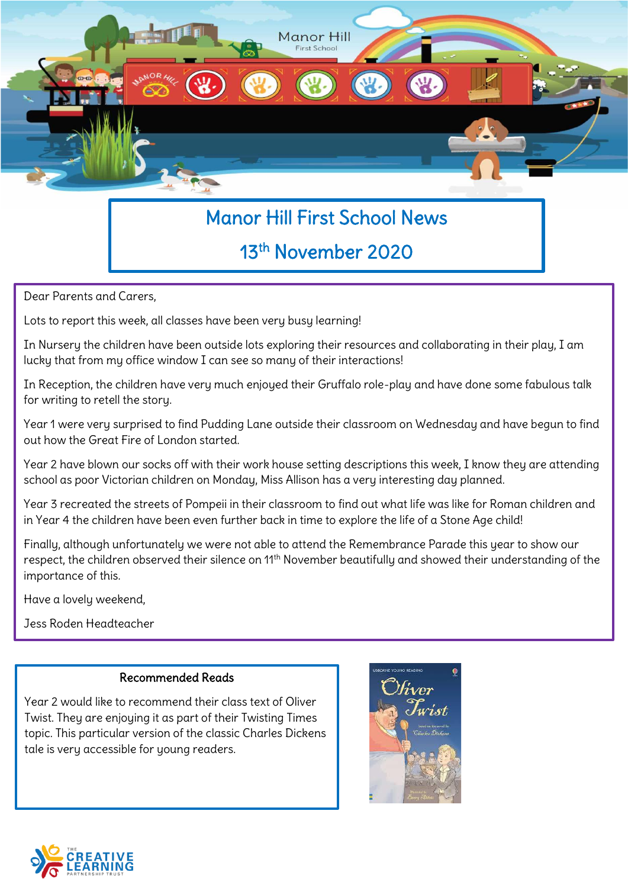

# Manor Hill First School News

## 13th November 2020

Dear Parents and Carers,

Lots to report this week, all classes have been very busy learning!

In Nursery the children have been outside lots exploring their resources and collaborating in their play, I am lucky that from my office window I can see so many of their interactions!

In Reception, the children have very much enjoyed their Gruffalo role-play and have done some fabulous talk for writing to retell the story.

Year 1 were very surprised to find Pudding Lane outside their classroom on Wednesday and have begun to find out how the Great Fire of London started.

Year 2 have blown our socks off with their work house setting descriptions this week, I know they are attending school as poor Victorian children on Monday, Miss Allison has a very interesting day planned.

Year 3 recreated the streets of Pompeii in their classroom to find out what life was like for Roman children and in Year 4 the children have been even further back in time to explore the life of a Stone Age child!

Finally, although unfortunately we were not able to attend the Remembrance Parade this year to show our respect, the children observed their silence on 11<sup>th</sup> November beautifully and showed their understanding of the importance of this.

Have a lovely weekend,

Jess Roden Headteacher

#### Recommended Reads

Year 2 would like to recommend their class text of Oliver Twist. They are enjoying it as part of their Twisting Times topic. This particular version of the classic Charles Dickens tale is very accessible for young readers.